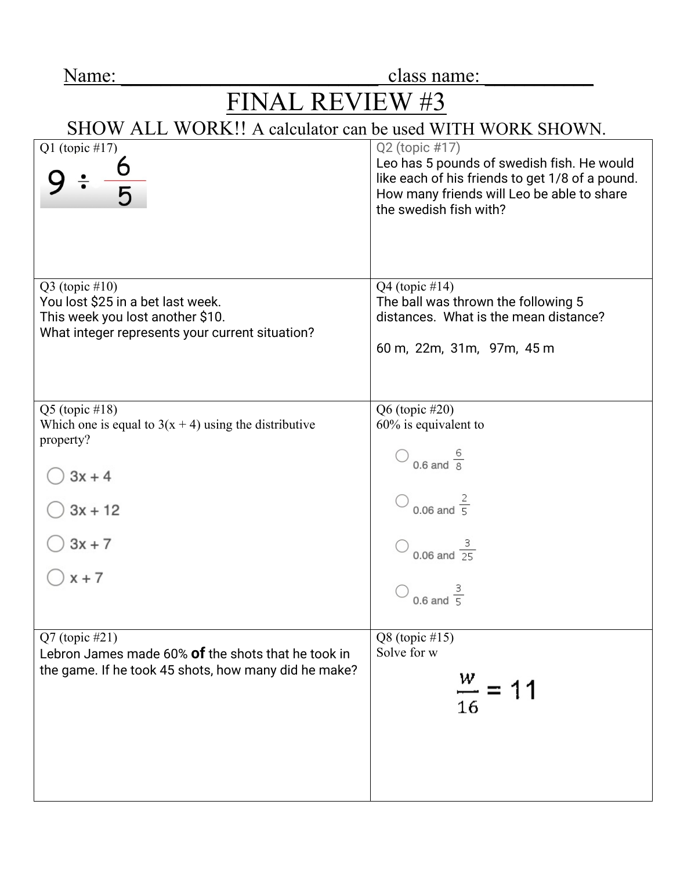| Name |  |
|------|--|
|      |  |

class name:

## $FINAL REVIEW #3$ <br>SHOW ALL WORK!! A calculator can be used WITH WORK SHOWN.

| Q1 (topic #17)                                                                      | Q2 (topic #17)<br>Leo has 5 pounds of swedish fish. He would<br>like each of his friends to get 1/8 of a pound.<br>How many friends will Leo be able to share<br>the swedish fish with? |
|-------------------------------------------------------------------------------------|-----------------------------------------------------------------------------------------------------------------------------------------------------------------------------------------|
| $Q3$ (topic #10)<br>You lost \$25 in a bet last week.                               | Q4 (topic $\#14$ )<br>The ball was thrown the following 5                                                                                                                               |
| This week you lost another \$10.<br>What integer represents your current situation? | distances. What is the mean distance?                                                                                                                                                   |
|                                                                                     | 60 m, 22m, 31m, 97m, 45 m                                                                                                                                                               |
|                                                                                     |                                                                                                                                                                                         |
| $Q5$ (topic #18)                                                                    | Q6 (topic #20)                                                                                                                                                                          |
| Which one is equal to $3(x + 4)$ using the distributive<br>property?                | $60\%$ is equivalent to                                                                                                                                                                 |
| $3x + 4$                                                                            | 0.6 and $\frac{6}{8}$                                                                                                                                                                   |
| $3x + 12$                                                                           | $\bigcirc$ 0.06 and $\frac{2}{5}$                                                                                                                                                       |
| $3x + 7$                                                                            | 0.06 and $\frac{3}{25}$                                                                                                                                                                 |
| $x + 7$                                                                             | 0.6 and $\frac{3}{5}$                                                                                                                                                                   |
|                                                                                     |                                                                                                                                                                                         |
| $Q7$ (topic #21)<br>Lebron James made 60% of the shots that he took in              | $Q8$ (topic #15)<br>Solve for w                                                                                                                                                         |
| the game. If he took 45 shots, how many did he make?                                |                                                                                                                                                                                         |
|                                                                                     | $\frac{w}{-}$ = 11<br>16                                                                                                                                                                |
|                                                                                     |                                                                                                                                                                                         |
|                                                                                     |                                                                                                                                                                                         |
|                                                                                     |                                                                                                                                                                                         |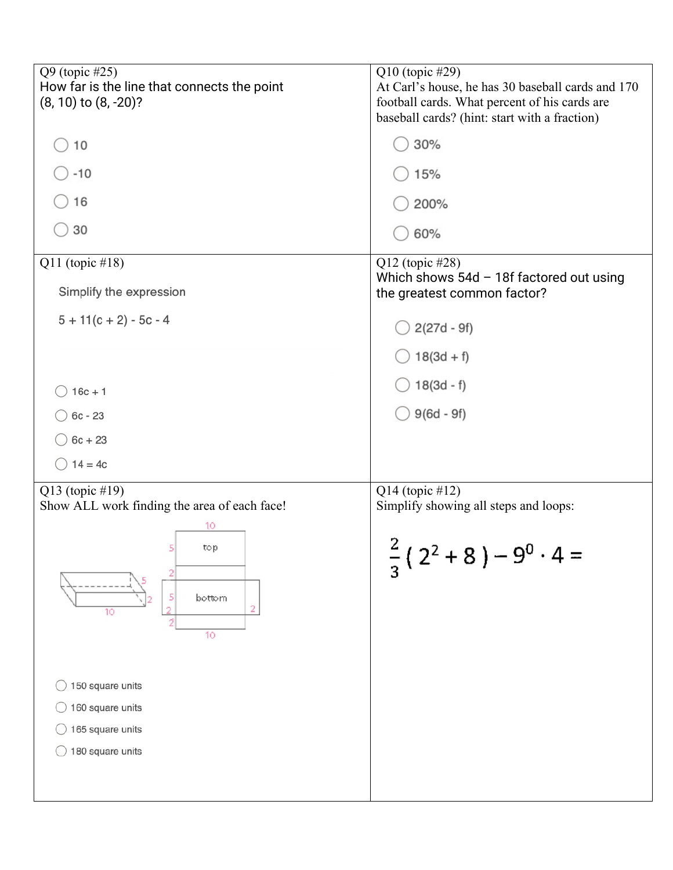| Q9 (topic #25)<br>How far is the line that connects the point<br>$(8, 10)$ to $(8, -20)$ ? | Q10 (topic #29)<br>At Carl's house, he has 30 baseball cards and 170<br>football cards. What percent of his cards are<br>baseball cards? (hint: start with a fraction) |
|--------------------------------------------------------------------------------------------|------------------------------------------------------------------------------------------------------------------------------------------------------------------------|
| 10                                                                                         | 30%                                                                                                                                                                    |
| $-10$                                                                                      | 15%                                                                                                                                                                    |
| 16                                                                                         | 200%                                                                                                                                                                   |
| 30                                                                                         | 60%                                                                                                                                                                    |
| Q11 (topic $\#18$ )                                                                        | Q12 (topic #28)                                                                                                                                                        |
| Simplify the expression                                                                    | Which shows $54d - 18f$ factored out using<br>the greatest common factor?                                                                                              |
| $5 + 11(c + 2) - 5c - 4$                                                                   | $2(27d - 9f)$                                                                                                                                                          |
|                                                                                            | $18(3d + f)$                                                                                                                                                           |
| $16c + 1$                                                                                  | $18(3d - f)$                                                                                                                                                           |
| $6c - 23$                                                                                  | $9(6d - 9f)$                                                                                                                                                           |
| $6c + 23$                                                                                  |                                                                                                                                                                        |
| $14 = 4c$                                                                                  |                                                                                                                                                                        |
| Q13 (topic #19)<br>Show ALL work finding the area of each face!                            | Q14 (topic #12)<br>Simplify showing all steps and loops:                                                                                                               |
| 10                                                                                         |                                                                                                                                                                        |
| 5<br>top<br>2<br>5<br>bottom<br>2<br>o<br>10<br>2                                          | $\frac{2}{3}$ (2 <sup>2</sup> + 8) – 9 <sup>0</sup> · 4 =                                                                                                              |
| 10                                                                                         |                                                                                                                                                                        |
| 150 square units                                                                           |                                                                                                                                                                        |
| 160 square units                                                                           |                                                                                                                                                                        |
| 165 square units                                                                           |                                                                                                                                                                        |
| 180 square units                                                                           |                                                                                                                                                                        |
|                                                                                            |                                                                                                                                                                        |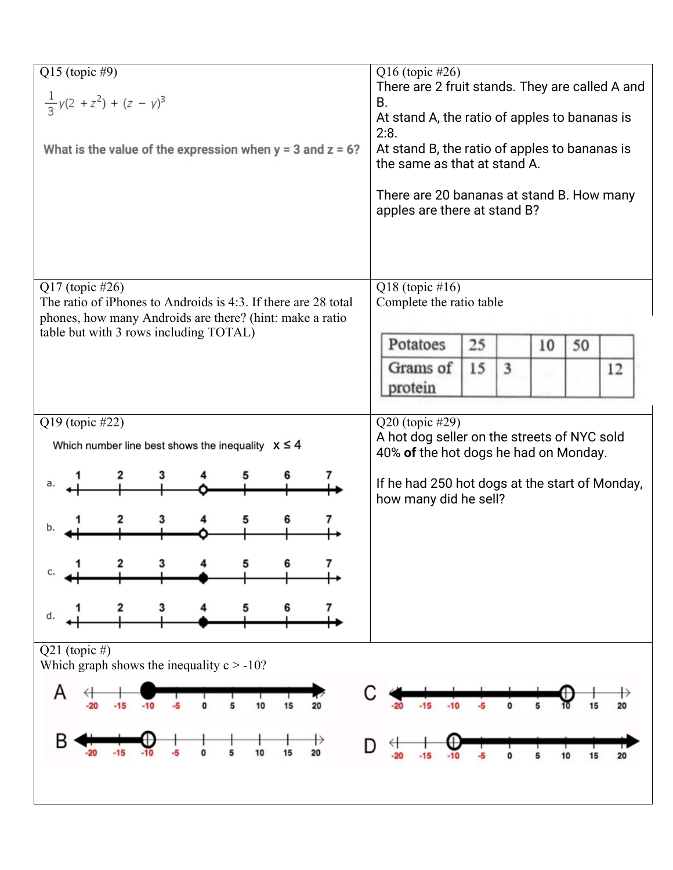| Q15 (topic #9)<br>$\frac{1}{3}y(2 + z^2) + (z - y)^3$<br>What is the value of the expression when $y = 3$ and $z = 6$ ?    | Q16 (topic #26)<br>There are 2 fruit stands. They are called A and<br>В.<br>At stand A, the ratio of apples to bananas is<br>2:8.<br>At stand B, the ratio of apples to bananas is<br>the same as that at stand A.<br>There are 20 bananas at stand B. How many<br>apples are there at stand B? |
|----------------------------------------------------------------------------------------------------------------------------|-------------------------------------------------------------------------------------------------------------------------------------------------------------------------------------------------------------------------------------------------------------------------------------------------|
| $Q17$ (topic #26)                                                                                                          | Q18 (topic $\#16$ )                                                                                                                                                                                                                                                                             |
| The ratio of iPhones to Androids is 4:3. If there are 28 total<br>phones, how many Androids are there? (hint: make a ratio | Complete the ratio table                                                                                                                                                                                                                                                                        |
| table but with 3 rows including TOTAL)                                                                                     | Potatoes<br>25<br>10<br>50                                                                                                                                                                                                                                                                      |
|                                                                                                                            | 15<br>Grams of<br>3<br>12                                                                                                                                                                                                                                                                       |
|                                                                                                                            | protein                                                                                                                                                                                                                                                                                         |
| Q19 (topic #22)                                                                                                            | Q20 (topic #29)<br>A hot dog seller on the streets of NYC sold                                                                                                                                                                                                                                  |
| Which number line best shows the inequality $x \le 4$                                                                      | 40% of the hot dogs he had on Monday.                                                                                                                                                                                                                                                           |
|                                                                                                                            | If he had 250 hot dogs at the start of Monday,<br>how many did he sell?                                                                                                                                                                                                                         |
|                                                                                                                            |                                                                                                                                                                                                                                                                                                 |
|                                                                                                                            |                                                                                                                                                                                                                                                                                                 |
|                                                                                                                            |                                                                                                                                                                                                                                                                                                 |
| 3<br>d.                                                                                                                    |                                                                                                                                                                                                                                                                                                 |
| Q21 (topic #)<br>Which graph shows the inequality $c > -10$ ?                                                              |                                                                                                                                                                                                                                                                                                 |
| Α                                                                                                                          |                                                                                                                                                                                                                                                                                                 |
| 10<br>15<br>0<br>-10<br>-20<br>-15<br>20                                                                                   | 20                                                                                                                                                                                                                                                                                              |
| B<br>10<br>20<br>-20<br>-15<br>15                                                                                          | D<br>10<br>$-15$<br>15<br>20<br>$-20$                                                                                                                                                                                                                                                           |
|                                                                                                                            |                                                                                                                                                                                                                                                                                                 |